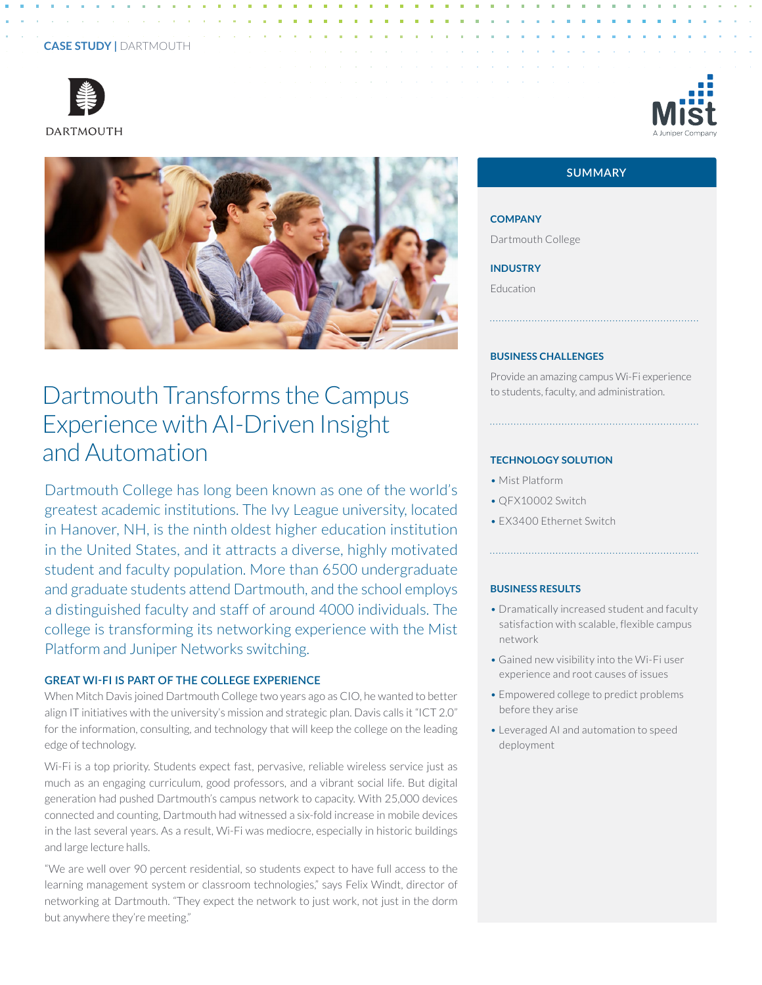# **CASE STUDY |** DARTMOUTH





# Dartmouth Transforms the Campus Experience with AI-Driven Insight and Automation

Dartmouth College has long been known as one of the world's greatest academic institutions. The Ivy League university, located in Hanover, NH, is the ninth oldest higher education institution in the United States, and it attracts a diverse, highly motivated student and faculty population. More than 6500 undergraduate and graduate students attend Dartmouth, and the school employs a distinguished faculty and staff of around 4000 individuals. The college is transforming its networking experience with the Mist Platform and Juniper Networks switching.

## **GREAT WI-FI IS PART OF THE COLLEGE EXPERIENCE**

When Mitch Davis joined Dartmouth College two years ago as CIO, he wanted to better align IT initiatives with the university's mission and strategic plan. Davis calls it "ICT 2.0" for the information, consulting, and technology that will keep the college on the leading edge of technology.

Wi-Fi is a top priority. Students expect fast, pervasive, reliable wireless service just as much as an engaging curriculum, good professors, and a vibrant social life. But digital generation had pushed Dartmouth's campus network to capacity. With 25,000 devices connected and counting, Dartmouth had witnessed a six-fold increase in mobile devices in the last several years. As a result, Wi-Fi was mediocre, especially in historic buildings and large lecture halls.

"We are well over 90 percent residential, so students expect to have full access to the learning management system or classroom technologies," says Felix Windt, director of networking at Dartmouth. "They expect the network to just work, not just in the dorm but anywhere they're meeting."

# **SUMMARY**

**COMPANY** Dartmouth College

**INDUSTRY**

Education

#### **BUSINESS CHALLENGES**

Provide an amazing campus Wi-Fi experience to students, faculty, and administration.

#### **TECHNOLOGY SOLUTION**

- Mist Platform
- QFX10002 Switch
- EX3400 Ethernet Switch

#### **BUSINESS RESULTS**

• Dramatically increased student and faculty satisfaction with scalable, flexible campus network

- Gained new visibility into the Wi-Fi user experience and root causes of issues
- Empowered college to predict problems before they arise
- Leveraged AI and automation to speed deployment

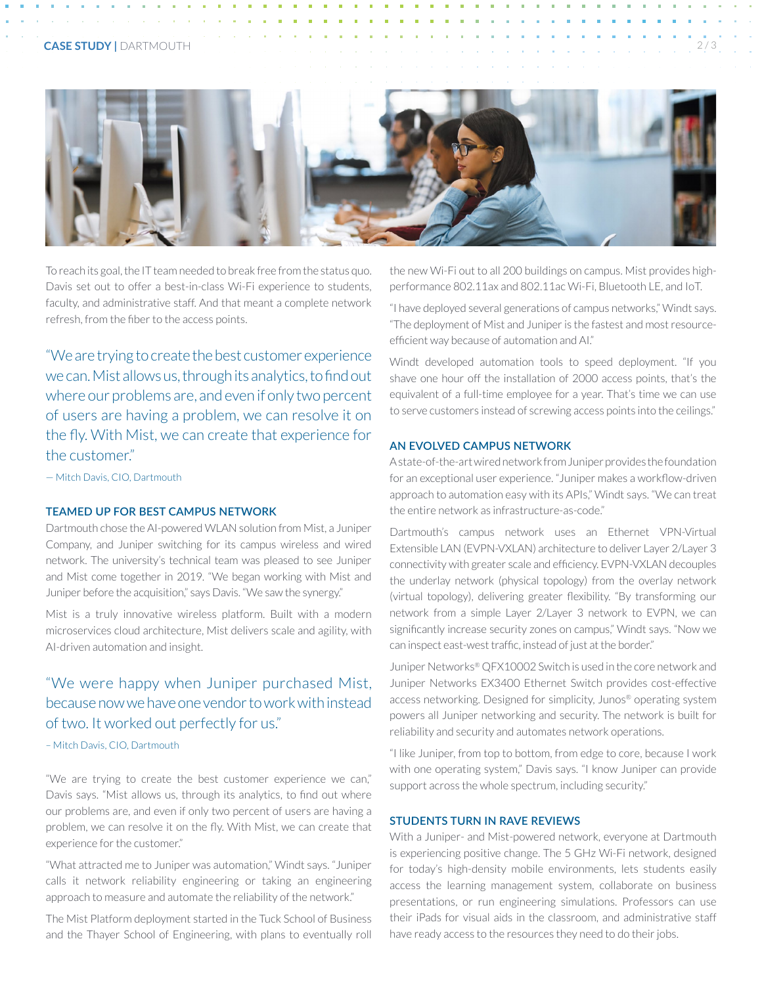#### **CASE STUDY | DARTMOUTH**



To reach its goal, the IT team needed to break free from the status quo. Davis set out to offer a best-in-class Wi-Fi experience to students, faculty, and administrative staff. And that meant a complete network refresh, from the fiber to the access points.

"We are trying to create the best customer experience we can. Mist allows us, through its analytics, to find out where our problems are, and even if only two percent of users are having a problem, we can resolve it on the fly. With Mist, we can create that experience for the customer."

— Mitch Davis, CIO, Dartmouth

#### **TEAMED UP FOR BEST CAMPUS NETWORK**

Dartmouth chose the AI-powered WLAN solution from Mist, a Juniper Company, and Juniper switching for its campus wireless and wired network. The university's technical team was pleased to see Juniper and Mist come together in 2019. "We began working with Mist and Juniper before the acquisition," says Davis. "We saw the synergy."

Mist is a truly innovative wireless platform. Built with a modern microservices cloud architecture, Mist delivers scale and agility, with AI-driven automation and insight.

# "We were happy when Juniper purchased Mist, because now we have one vendor to work with instead of two. It worked out perfectly for us."

## – Mitch Davis, CIO, Dartmouth

"We are trying to create the best customer experience we can," Davis says. "Mist allows us, through its analytics, to find out where our problems are, and even if only two percent of users are having a problem, we can resolve it on the fly. With Mist, we can create that experience for the customer."

"What attracted me to Juniper was automation," Windt says. "Juniper calls it network reliability engineering or taking an engineering approach to measure and automate the reliability of the network."

The Mist Platform deployment started in the Tuck School of Business and the Thayer School of Engineering, with plans to eventually roll the new Wi-Fi out to all 200 buildings on campus. Mist provides highperformance 802.11ax and 802.11ac Wi-Fi, Bluetooth LE, and IoT.

"I have deployed several generations of campus networks," Windt says. "The deployment of Mist and Juniper is the fastest and most resourceefficient way because of automation and AI."

Windt developed automation tools to speed deployment. "If you shave one hour off the installation of 2000 access points, that's the equivalent of a full-time employee for a year. That's time we can use to serve customers instead of screwing access points into the ceilings."

# **AN EVOLVED CAMPUS NETWORK**

A state-of-the-art wired network from Juniper provides the foundation for an exceptional user experience. "Juniper makes a workflow-driven approach to automation easy with its APIs," Windt says. "We can treat the entire network as infrastructure-as-code."

Dartmouth's campus network uses an Ethernet VPN-Virtual Extensible LAN (EVPN-VXLAN) architecture to deliver Layer 2/Layer 3 connectivity with greater scale and efficiency. EVPN-VXLAN decouples the underlay network (physical topology) from the overlay network (virtual topology), delivering greater flexibility. "By transforming our network from a simple Layer 2/Layer 3 network to EVPN, we can significantly increase security zones on campus," Windt says. "Now we can inspect east-west traffic, instead of just at the border."

Juniper Networks® QFX10002 Switch is used in the core network and Juniper Networks EX3400 Ethernet Switch provides cost-effective access networking. Designed for simplicity, Junos® operating system powers all Juniper networking and security. The network is built for reliability and security and automates network operations.

"I like Juniper, from top to bottom, from edge to core, because I work with one operating system," Davis says. "I know Juniper can provide support across the whole spectrum, including security."

## **STUDENTS TURN IN RAVE REVIEWS**

With a Juniper- and Mist-powered network, everyone at Dartmouth is experiencing positive change. The 5 GHz Wi-Fi network, designed for today's high-density mobile environments, lets students easily access the learning management system, collaborate on business presentations, or run engineering simulations. Professors can use their iPads for visual aids in the classroom, and administrative staff have ready access to the resources they need to do their jobs.